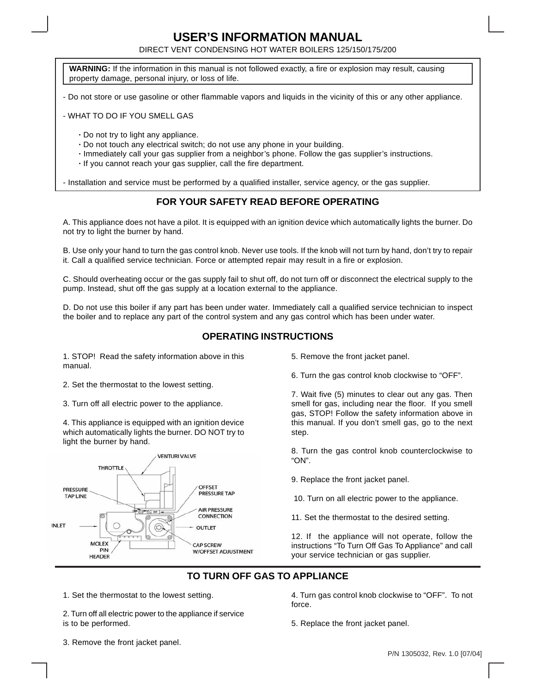# **USER'S INFORMATION MANUAL**

DIRECT VENT CONDENSING HOT WATER BOILERS 125/150/175/200

**WARNING:** If the information in this manual is not followed exactly, a fire or explosion may result, causing property damage, personal injury, or loss of life.

- Do not store or use gasoline or other flammable vapors and liquids in the vicinity of this or any other appliance.

- WHAT TO DO IF YOU SMELL GAS

- **·** Do not try to light any appliance.
- **·** Do not touch any electrical switch; do not use any phone in your building.
- **·** Immediately call your gas supplier from a neighbor's phone. Follow the gas supplier's instructions.
- **·** If you cannot reach your gas supplier, call the fire department.

- Installation and service must be performed by a qualified installer, service agency, or the gas supplier.

#### **FOR YOUR SAFETY READ BEFORE OPERATING**

A. This appliance does not have a pilot. It is equipped with an ignition device which automatically lights the burner. Do not try to light the burner by hand.

B. Use only your hand to turn the gas control knob. Never use tools. If the knob will not turn by hand, don't try to repair it. Call a qualified service technician. Force or attempted repair may result in a fire or explosion.

C. Should overheating occur or the gas supply fail to shut off, do not turn off or disconnect the electrical supply to the pump. Instead, shut off the gas supply at a location external to the appliance.

D. Do not use this boiler if any part has been under water. Immediately call a qualified service technician to inspect the boiler and to replace any part of the control system and any gas control which has been under water.

#### **OPERATING INSTRUCTIONS**

1. STOP! Read the safety information above in this manual.

2. Set the thermostat to the lowest setting.

3. Turn off all electric power to the appliance.

4. This appliance is equipped with an ignition device which automatically lights the burner. DO NOT try to light the burner by hand.



5. Remove the front jacket panel.

6. Turn the gas control knob clockwise to "OFF".

7. Wait five (5) minutes to clear out any gas. Then smell for gas, including near the floor. If you smell gas, STOP! Follow the safety information above in this manual. If you don't smell gas, go to the next step.

8. Turn the gas control knob counterclockwise to "ON".

- 9. Replace the front jacket panel.
- 10. Turn on all electric power to the appliance.
- 11. Set the thermostat to the desired setting.

12. If the appliance will not operate, follow the instructions "To Turn Off Gas To Appliance" and call your service technician or gas supplier.

### **TO TURN OFF GAS TO APPLIANCE**

1. Set the thermostat to the lowest setting.

2. Turn off all electric power to the appliance if service is to be performed.

3. Remove the front jacket panel.

4. Turn gas control knob clockwise to "OFF". To not force.

5. Replace the front jacket panel.